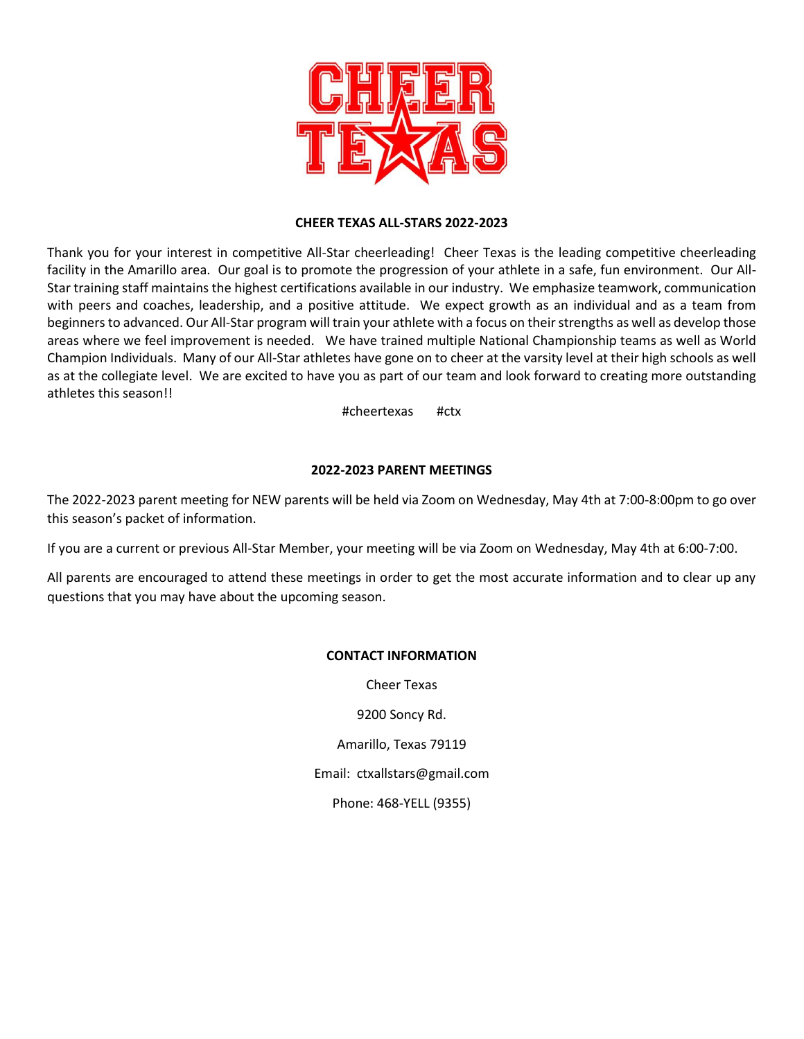

#### **CHEER TEXAS ALL-STARS 2022-2023**

Thank you for your interest in competitive All-Star cheerleading! Cheer Texas is the leading competitive cheerleading facility in the Amarillo area. Our goal is to promote the progression of your athlete in a safe, fun environment. Our All-Star training staff maintains the highest certifications available in our industry. We emphasize teamwork, communication with peers and coaches, leadership, and a positive attitude. We expect growth as an individual and as a team from beginners to advanced. Our All-Star program will train your athlete with a focus on their strengths as well as develop those areas where we feel improvement is needed. We have trained multiple National Championship teams as well as World Champion Individuals. Many of our All-Star athletes have gone on to cheer at the varsity level at their high schools as well as at the collegiate level. We are excited to have you as part of our team and look forward to creating more outstanding athletes this season!!

#cheertexas #ctx

#### **2022-2023 PARENT MEETINGS**

The 2022-2023 parent meeting for NEW parents will be held via Zoom on Wednesday, May 4th at 7:00-8:00pm to go over this season's packet of information.

If you are a current or previous All-Star Member, your meeting will be via Zoom on Wednesday, May 4th at 6:00-7:00.

All parents are encouraged to attend these meetings in order to get the most accurate information and to clear up any questions that you may have about the upcoming season.

#### **CONTACT INFORMATION**

Cheer Texas

9200 Soncy Rd.

Amarillo, Texas 79119

Email: ctxallstars@gmail.com

Phone: 468-YELL (9355)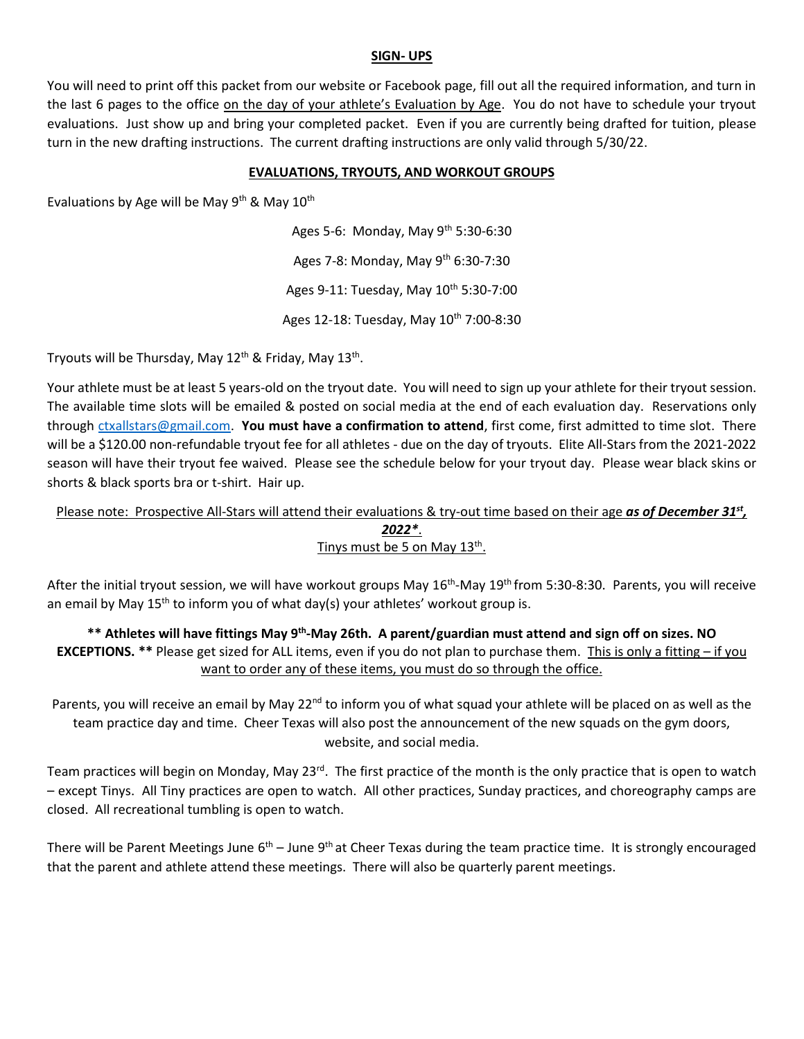#### **SIGN- UPS**

You will need to print off this packet from our website or Facebook page, fill out all the required information, and turn in the last 6 pages to the office on the day of your athlete's Evaluation by Age. You do not have to schedule your tryout evaluations. Just show up and bring your completed packet. Even if you are currently being drafted for tuition, please turn in the new drafting instructions. The current drafting instructions are only valid through 5/30/22.

#### **EVALUATIONS, TRYOUTS, AND WORKOUT GROUPS**

Evaluations by Age will be May 9<sup>th</sup> & May 10<sup>th</sup>

Ages 5-6: Monday, May  $9^{th}$  5:30-6:30 Ages 7-8: Monday, May 9<sup>th</sup> 6:30-7:30 Ages 9-11: Tuesday, May 10<sup>th</sup> 5:30-7:00 Ages 12-18: Tuesday, May 10<sup>th</sup> 7:00-8:30

Tryouts will be Thursday, May 12<sup>th</sup> & Friday, May 13<sup>th</sup>.

Your athlete must be at least 5 years-old on the tryout date. You will need to sign up your athlete for their tryout session. The available time slots will be emailed & posted on social media at the end of each evaluation day. Reservations only through [ctxallstars@gmail.com.](mailto:ctxallstars@gmail.com) **You must have a confirmation to attend**, first come, first admitted to time slot. There will be a \$120.00 non-refundable tryout fee for all athletes - due on the day of tryouts. Elite All-Stars from the 2021-2022 season will have their tryout fee waived. Please see the schedule below for your tryout day. Please wear black skins or shorts & black sports bra or t-shirt. Hair up.

# Please note: Prospective All-Stars will attend their evaluations & try-out time based on their age as of December 31<sup>st</sup>, *2022\**.

## Tinys must be 5 on May 13<sup>th</sup>.

After the initial tryout session, we will have workout groups May 16<sup>th</sup>-May 19<sup>th</sup> from 5:30-8:30. Parents, you will receive an email by May 15<sup>th</sup> to inform you of what day(s) your athletes' workout group is.

\*\* Athletes will have fittings May 9<sup>th</sup>-May 26th. A parent/guardian must attend and sign off on sizes. NO **EXCEPTIONS.** \*\* Please get sized for ALL items, even if you do not plan to purchase them. This is only a fitting – if you want to order any of these items, you must do so through the office.

Parents, you will receive an email by May 22<sup>nd</sup> to inform you of what squad your athlete will be placed on as well as the team practice day and time. Cheer Texas will also post the announcement of the new squads on the gym doors, website, and social media.

Team practices will begin on Monday, May 23<sup>rd</sup>. The first practice of the month is the only practice that is open to watch – except Tinys. All Tiny practices are open to watch. All other practices, Sunday practices, and choreography camps are closed. All recreational tumbling is open to watch.

There will be Parent Meetings June 6<sup>th</sup> – June 9<sup>th</sup> at Cheer Texas during the team practice time. It is strongly encouraged that the parent and athlete attend these meetings. There will also be quarterly parent meetings.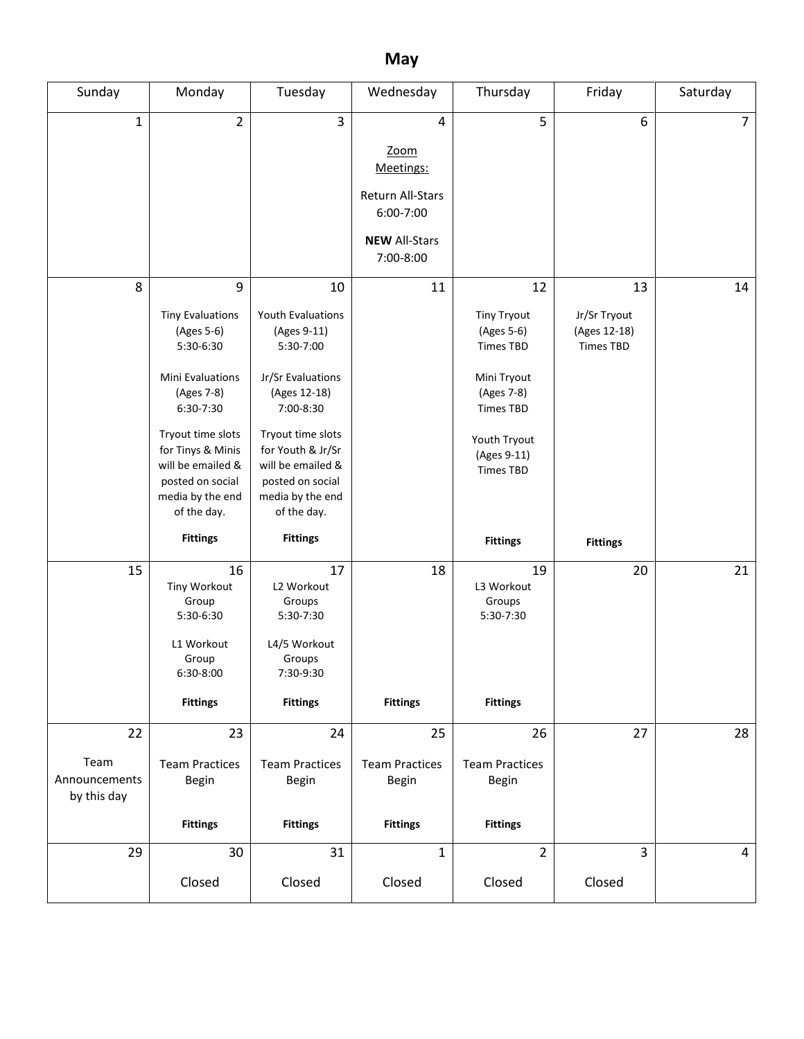# **May**

| Sunday                                     | Monday                                                                                                                                                                                                                       | Tuesday                                                                                                                                                                                                                            | Wednesday                                                                                    | Thursday                                                                                                                                                       | Friday                                                 | Saturday       |
|--------------------------------------------|------------------------------------------------------------------------------------------------------------------------------------------------------------------------------------------------------------------------------|------------------------------------------------------------------------------------------------------------------------------------------------------------------------------------------------------------------------------------|----------------------------------------------------------------------------------------------|----------------------------------------------------------------------------------------------------------------------------------------------------------------|--------------------------------------------------------|----------------|
| $\mathbf 1$                                | $\overline{2}$                                                                                                                                                                                                               | 3                                                                                                                                                                                                                                  | 4<br>Zoom<br>Meetings:<br>Return All-Stars<br>6:00-7:00<br><b>NEW All-Stars</b><br>7:00-8:00 | 5                                                                                                                                                              | 6                                                      | $\overline{7}$ |
| 8                                          | 9<br><b>Tiny Evaluations</b><br>(Ages 5-6)<br>5:30-6:30<br>Mini Evaluations<br>(Ages 7-8)<br>6:30-7:30<br>Tryout time slots<br>for Tinys & Minis<br>will be emailed &<br>posted on social<br>media by the end<br>of the day. | 10<br><b>Youth Evaluations</b><br>(Ages 9-11)<br>5:30-7:00<br>Jr/Sr Evaluations<br>(Ages 12-18)<br>7:00-8:30<br>Tryout time slots<br>for Youth & Jr/Sr<br>will be emailed &<br>posted on social<br>media by the end<br>of the day. | 11                                                                                           | 12<br><b>Tiny Tryout</b><br>(Ages 5-6)<br><b>Times TBD</b><br>Mini Tryout<br>(Ages 7-8)<br><b>Times TBD</b><br>Youth Tryout<br>(Ages 9-11)<br><b>Times TBD</b> | 13<br>Jr/Sr Tryout<br>(Ages 12-18)<br><b>Times TBD</b> | 14             |
| 15                                         | <b>Fittings</b><br>16<br>Tiny Workout<br>Group<br>5:30-6:30<br>L1 Workout<br>Group<br>6:30-8:00<br><b>Fittings</b>                                                                                                           | <b>Fittings</b><br>17<br>L2 Workout<br>Groups<br>5:30-7:30<br>L4/5 Workout<br>Groups<br>7:30-9:30<br><b>Fittings</b>                                                                                                               | 18<br><b>Fittings</b>                                                                        | <b>Fittings</b><br>19<br>L3 Workout<br>Groups<br>5:30-7:30<br><b>Fittings</b>                                                                                  | <b>Fittings</b><br>20                                  | 21             |
| 22<br>Team<br>Announcements<br>by this day | 23<br><b>Team Practices</b><br>Begin<br><b>Fittings</b>                                                                                                                                                                      | 24<br><b>Team Practices</b><br>Begin<br><b>Fittings</b>                                                                                                                                                                            | 25<br><b>Team Practices</b><br>Begin<br><b>Fittings</b>                                      | 26<br><b>Team Practices</b><br>Begin<br><b>Fittings</b>                                                                                                        | 27                                                     | 28             |
| 29                                         | 30<br>Closed                                                                                                                                                                                                                 | 31<br>Closed                                                                                                                                                                                                                       | $\mathbf{1}$<br>Closed                                                                       | $\overline{2}$<br>Closed                                                                                                                                       | $\overline{3}$<br>Closed                               | $\overline{4}$ |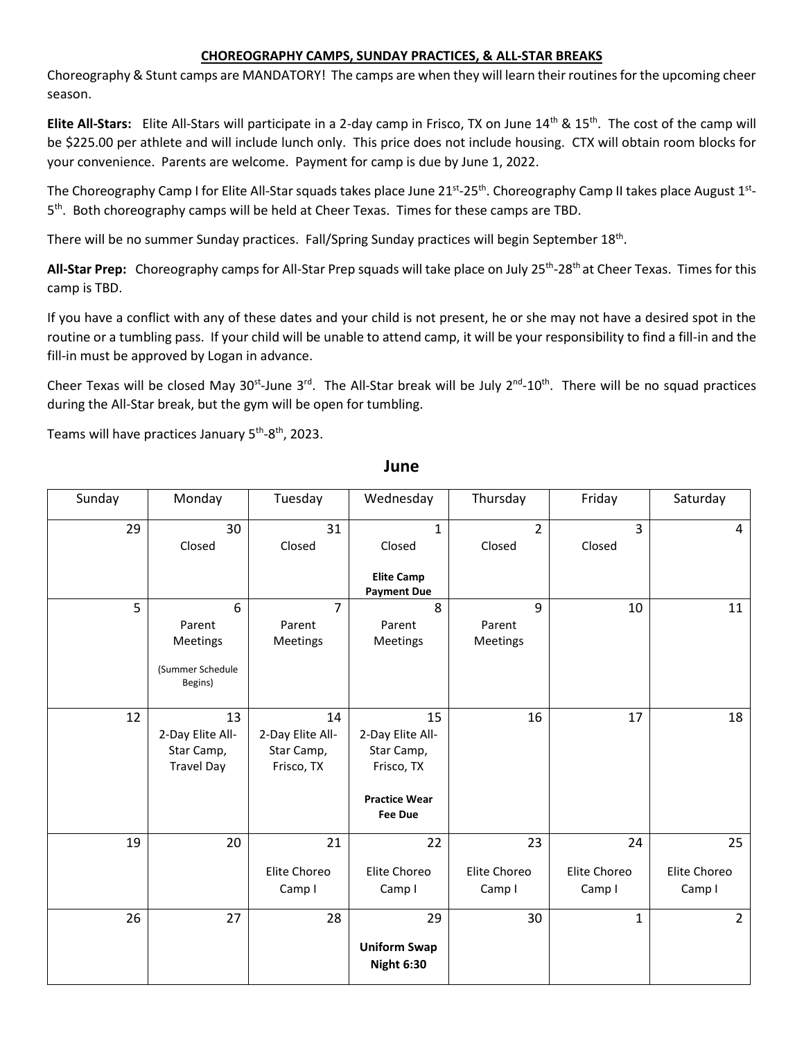# **CHOREOGRAPHY CAMPS, SUNDAY PRACTICES, & ALL-STAR BREAKS**

Choreography & Stunt camps are MANDATORY! The camps are when they will learn their routines for the upcoming cheer season.

**Elite All-Stars:** Elite All-Stars will participate in a 2-day camp in Frisco, TX on June 14th & 15th. The cost of the camp will be \$225.00 per athlete and will include lunch only. This price does not include housing. CTX will obtain room blocks for your convenience. Parents are welcome. Payment for camp is due by June 1, 2022.

The Choreography Camp I for Elite All-Star squads takes place June 21st-25th. Choreography Camp II takes place August 1st-5<sup>th</sup>. Both choreography camps will be held at Cheer Texas. Times for these camps are TBD.

There will be no summer Sunday practices. Fall/Spring Sunday practices will begin September 18<sup>th</sup>.

**All-Star Prep:** Choreography camps for All-Star Prep squads will take place on July 25th -28th at Cheer Texas. Times for this camp is TBD.

If you have a conflict with any of these dates and your child is not present, he or she may not have a desired spot in the routine or a tumbling pass. If your child will be unable to attend camp, it will be your responsibility to find a fill-in and the fill-in must be approved by Logan in advance.

Cheer Texas will be closed May 30<sup>st</sup>-June 3<sup>rd</sup>. The All-Star break will be July 2<sup>nd</sup>-10<sup>th</sup>. There will be no squad practices during the All-Star break, but the gym will be open for tumbling.

Teams will have practices January 5<sup>th</sup>-8<sup>th</sup>, 2023.

| Sunday | Monday                                                    | Tuesday                                            | Wednesday                                                                                    | Thursday                     | Friday                       | Saturday                     |
|--------|-----------------------------------------------------------|----------------------------------------------------|----------------------------------------------------------------------------------------------|------------------------------|------------------------------|------------------------------|
| 29     | 30<br>Closed                                              | 31<br>Closed                                       | $\mathbf{1}$<br>Closed<br><b>Elite Camp</b><br><b>Payment Due</b>                            | $\overline{2}$<br>Closed     | $\overline{3}$<br>Closed     | 4                            |
| 5      | 6<br>Parent<br>Meetings<br>(Summer Schedule<br>Begins)    | $\overline{7}$<br>Parent<br>Meetings               | 8<br>Parent<br>Meetings                                                                      | 9<br>Parent<br>Meetings      | 10                           | 11                           |
| 12     | 13<br>2-Day Elite All-<br>Star Camp,<br><b>Travel Day</b> | 14<br>2-Day Elite All-<br>Star Camp,<br>Frisco, TX | 15<br>2-Day Elite All-<br>Star Camp,<br>Frisco, TX<br><b>Practice Wear</b><br><b>Fee Due</b> | 16                           | 17                           | 18                           |
| 19     | 20                                                        | 21<br>Elite Choreo<br>Camp I                       | 22<br>Elite Choreo<br>Camp I                                                                 | 23<br>Elite Choreo<br>Camp I | 24<br>Elite Choreo<br>Camp I | 25<br>Elite Choreo<br>Camp I |
| 26     | 27                                                        | 28                                                 | 29<br><b>Uniform Swap</b><br><b>Night 6:30</b>                                               | 30                           | $\mathbf{1}$                 | $\overline{2}$               |

**June**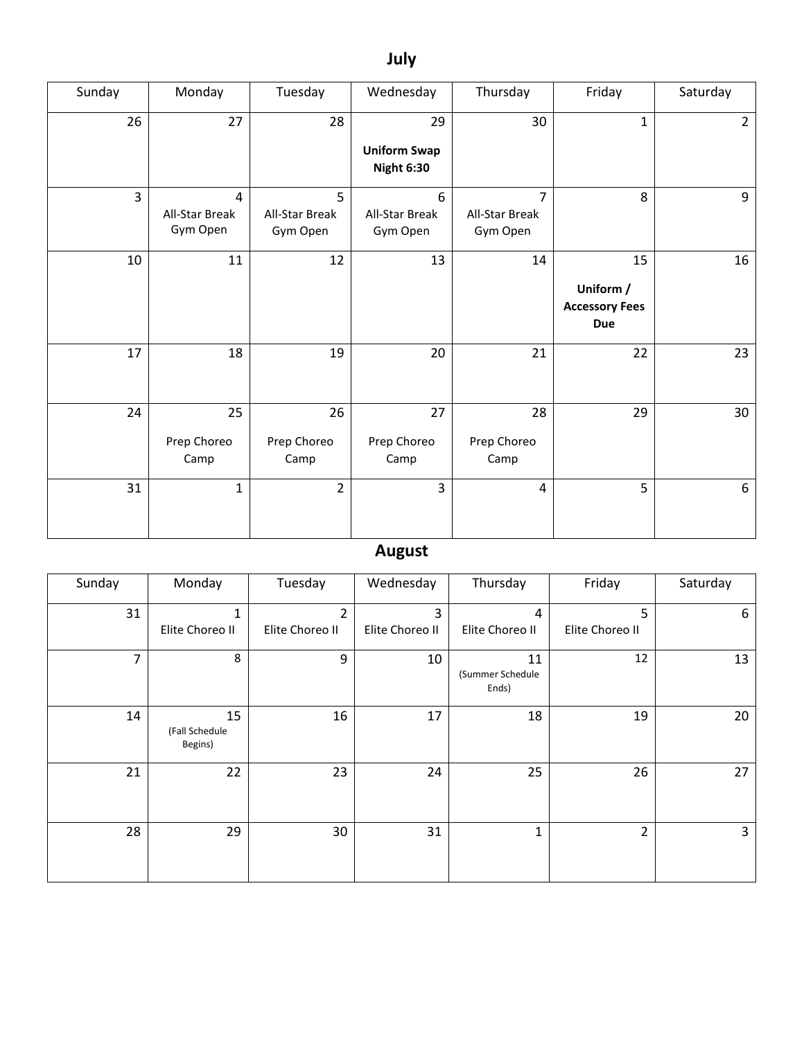# **July**

| Sunday | Monday                          | Tuesday                         | Wednesday                                      | Thursday                                     | Friday                                                 | Saturday       |
|--------|---------------------------------|---------------------------------|------------------------------------------------|----------------------------------------------|--------------------------------------------------------|----------------|
| 26     | 27                              | 28                              | 29<br><b>Uniform Swap</b><br><b>Night 6:30</b> | 30                                           | $\mathbf{1}$                                           | $\overline{2}$ |
| 3      | 4<br>All-Star Break<br>Gym Open | 5<br>All-Star Break<br>Gym Open | 6<br>All-Star Break<br>Gym Open                | $\overline{7}$<br>All-Star Break<br>Gym Open | 8                                                      | 9              |
| 10     | 11                              | 12                              | 13                                             | 14                                           | 15<br>Uniform /<br><b>Accessory Fees</b><br><b>Due</b> | 16             |
| 17     | 18                              | 19                              | 20                                             | 21                                           | 22                                                     | 23             |
| 24     | 25<br>Prep Choreo<br>Camp       | 26<br>Prep Choreo<br>Camp       | 27<br>Prep Choreo<br>Camp                      | 28<br>Prep Choreo<br>Camp                    | 29                                                     | 30             |
| 31     | $\mathbf{1}$                    | $\overline{2}$                  | $\overline{3}$                                 | $\overline{4}$                               | 5                                                      | 6              |

# **August**

| Sunday | Monday                          | Tuesday                           | Wednesday            | Thursday                        | Friday               | Saturday |
|--------|---------------------------------|-----------------------------------|----------------------|---------------------------------|----------------------|----------|
| 31     | 1<br>Elite Choreo II            | $\mathfrak{p}$<br>Elite Choreo II | 3<br>Elite Choreo II | 4<br>Elite Choreo II            | 5<br>Elite Choreo II | 6        |
| 7      | 8                               | 9                                 | 10                   | 11<br>(Summer Schedule<br>Ends) | 12                   | 13       |
| 14     | 15<br>(Fall Schedule<br>Begins) | 16                                | 17                   | 18                              | 19                   | 20       |
| 21     | 22                              | 23                                | 24                   | 25                              | 26                   | 27       |
| 28     | 29                              | 30                                | 31                   | 1                               | $\overline{2}$       | 3        |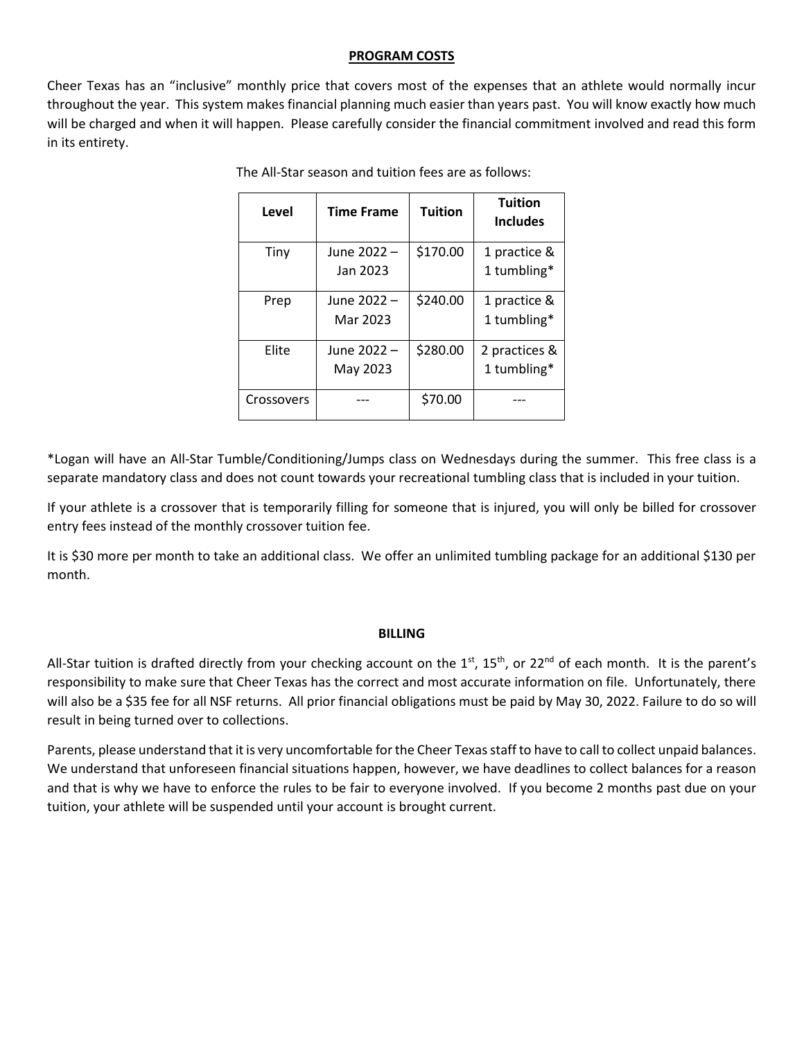#### **PROGRAM COSTS**

Cheer Texas has an "inclusive" monthly price that covers most of the expenses that an athlete would normally incur throughout the year. This system makes financial planning much easier than years past. You will know exactly how much will be charged and when it will happen. Please carefully consider the financial commitment involved and read this form in its entirety.

| Level      | <b>Time Frame</b> | <b>Tuition</b> | <b>Tuition</b><br><b>Includes</b> |
|------------|-------------------|----------------|-----------------------------------|
| Tiny       | June 2022 -       | \$170.00       | 1 practice &                      |
|            | Jan 2023          |                | 1 tumbling*                       |
| Prep       | June 2022 -       | \$240.00       | 1 practice &                      |
|            | Mar 2023          |                | 1 tumbling*                       |
| Elite      | June 2022 -       | \$280.00       | 2 practices &                     |
|            | May 2023          |                | 1 tumbling*                       |
| Crossovers |                   | \$70.00        |                                   |

The All-Star season and tuition fees are as follows:

\*Logan will have an All-Star Tumble/Conditioning/Jumps class on Wednesdays during the summer. This free class is a separate mandatory class and does not count towards your recreational tumbling class that is included in your tuition.

If your athlete is a crossover that is temporarily filling for someone that is injured, you will only be billed for crossover entry fees instead of the monthly crossover tuition fee.

It is \$30 more per month to take an additional class. We offer an unlimited tumbling package for an additional \$130 per month.

#### **BILLING**

All-Star tuition is drafted directly from your checking account on the  $1^{st}$ ,  $15^{th}$ , or  $22^{nd}$  of each month. It is the parent's responsibility to make sure that Cheer Texas has the correct and most accurate information on file. Unfortunately, there will also be a \$35 fee for all NSF returns. All prior financial obligations must be paid by May 30, 2022. Failure to do so will result in being turned over to collections.

Parents, please understand that it is very uncomfortable for the Cheer Texas staff to have to call to collect unpaid balances. We understand that unforeseen financial situations happen, however, we have deadlines to collect balances for a reason and that is why we have to enforce the rules to be fair to everyone involved. If you become 2 months past due on your tuition, your athlete will be suspended until your account is brought current.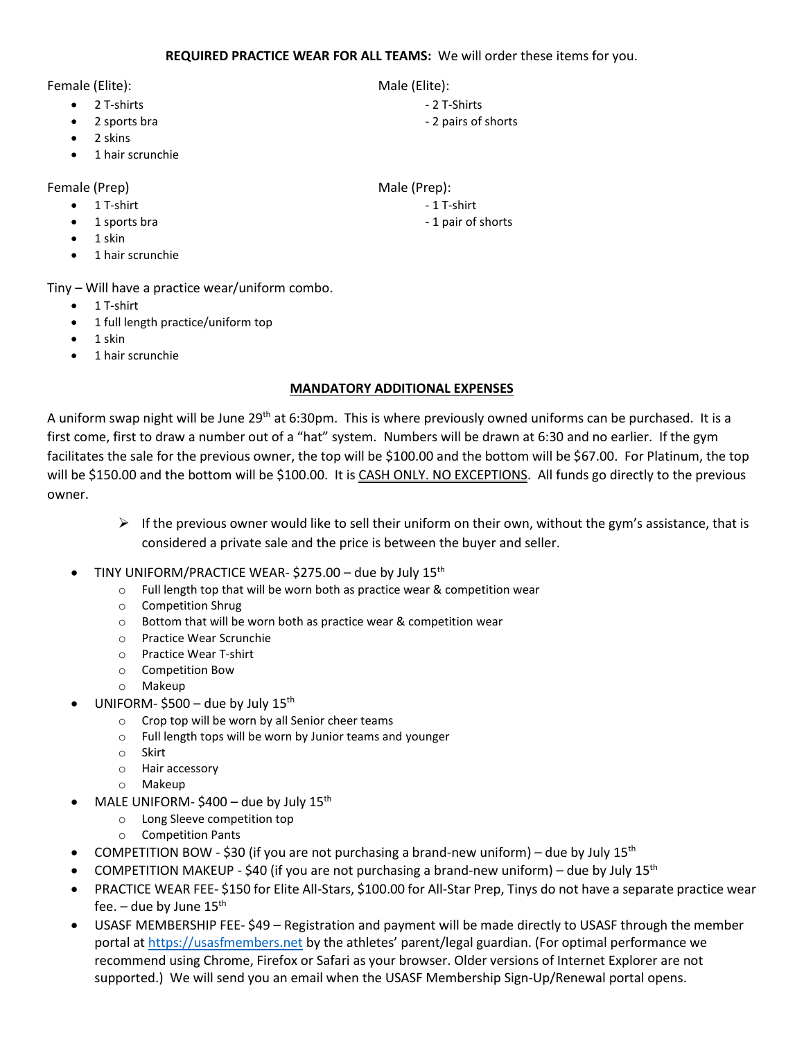Female (Elite): Male (Elite):

- 2 T-shirts 2 T-shirts 2 T-shirts 2 T-shirts 2 T-shirts 2 T-Shirts 2 T-Shirts 2 T-Shirts 2 T-Shirts 2 T-Shirts 2 T-Shirts 2 T-Shirts 2 T-Shirts 2 T-Shirts 2 T-Shirts 2 T-Shirts 2 T-Shirts -
- 
- 2 skins
- 1 hair scrunchie

# Female (Prep) Male (Prep):

- $\bullet$  1 T-shirt  $\bullet$  1 T-shirt  $\bullet$  1 T-shirt  $\bullet$
- 1 sports bra  $\bullet$  1 sports bra  $\bullet$  1 pair of shorts
- 1 skin
- 1 hair scrunchie

Tiny – Will have a practice wear/uniform combo.

- 1 T-shirt
- 1 full length practice/uniform top
- 1 skin
- 1 hair scrunchie

## **MANDATORY ADDITIONAL EXPENSES**

A uniform swap night will be June 29<sup>th</sup> at 6:30pm. This is where previously owned uniforms can be purchased. It is a first come, first to draw a number out of a "hat" system. Numbers will be drawn at 6:30 and no earlier. If the gym facilitates the sale for the previous owner, the top will be \$100.00 and the bottom will be \$67.00. For Platinum, the top will be \$150.00 and the bottom will be \$100.00. It is CASH ONLY. NO EXCEPTIONS. All funds go directly to the previous owner.

- $\triangleright$  If the previous owner would like to sell their uniform on their own, without the gym's assistance, that is considered a private sale and the price is between the buyer and seller.
- TINY UNIFORM/PRACTICE WEAR- \$275.00 due by July 15<sup>th</sup>
	- o Full length top that will be worn both as practice wear & competition wear
	- o Competition Shrug
	- o Bottom that will be worn both as practice wear & competition wear
	- o Practice Wear Scrunchie
	- o Practice Wear T-shirt
	- o Competition Bow
	- o Makeup
- UNIFORM-\$500 due by July  $15^{\text{th}}$ 
	- o Crop top will be worn by all Senior cheer teams
	- o Full length tops will be worn by Junior teams and younger
	- o Skirt
	- o Hair accessory
	- o Makeup
- $\bullet$  MALE UNIFORM-\$400 due by July 15<sup>th</sup>
	- o Long Sleeve competition top
	- o Competition Pants
- COMPETITION BOW \$30 (if you are not purchasing a brand-new uniform) due by July  $15<sup>th</sup>$
- COMPETITION MAKEUP \$40 (if you are not purchasing a brand-new uniform) due by July  $15<sup>th</sup>$
- PRACTICE WEAR FEE- \$150 for Elite All-Stars, \$100.00 for All-Star Prep, Tinys do not have a separate practice wear fee.  $-$  due by June 15<sup>th</sup>
- USASF MEMBERSHIP FEE- \$49 Registration and payment will be made directly to USASF through the member portal at [https://usasfmembers.net](https://usasfmembers.net/) by the athletes' parent/legal guardian. (For optimal performance we recommend using Chrome, Firefox or Safari as your browser. Older versions of Internet Explorer are not supported.) We will send you an email when the USASF Membership Sign-Up/Renewal portal opens.

- 
- example 2 sports bra  $\sim$  2 pairs of shorts

- 
-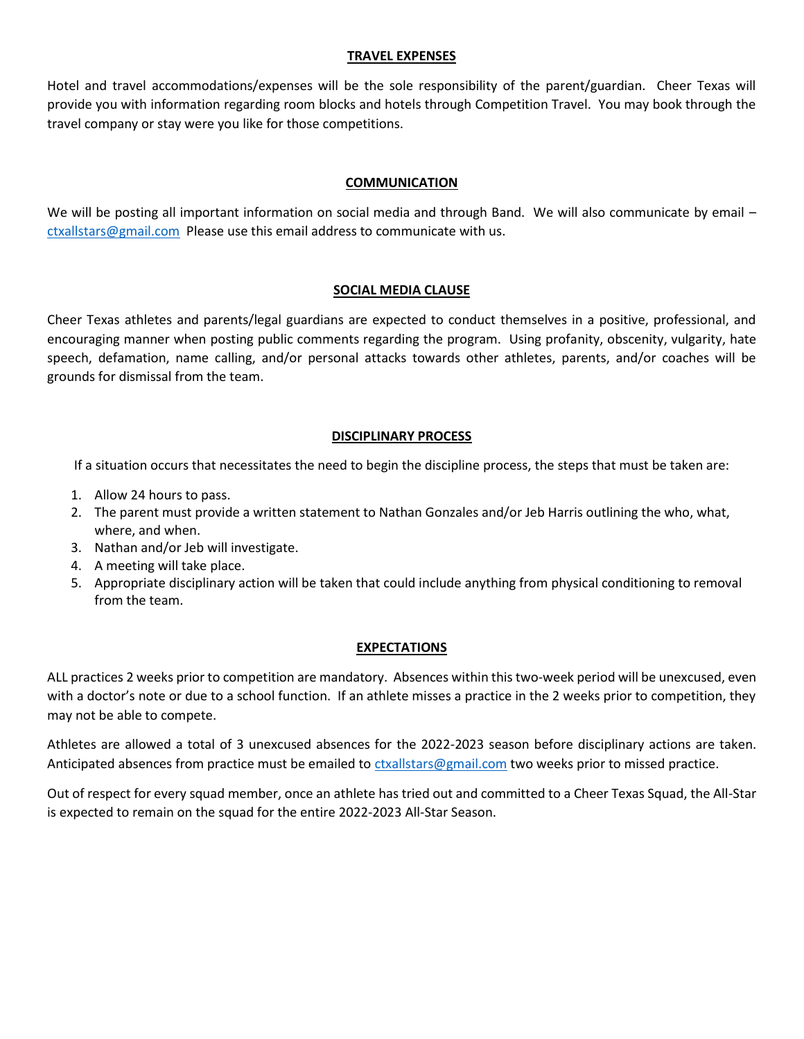#### **TRAVEL EXPENSES**

Hotel and travel accommodations/expenses will be the sole responsibility of the parent/guardian. Cheer Texas will provide you with information regarding room blocks and hotels through Competition Travel. You may book through the travel company or stay were you like for those competitions.

# **COMMUNICATION**

We will be posting all important information on social media and through Band. We will also communicate by email [ctxallstars@gmail.com](mailto:ctxallstars@gmail.com) Please use this email address to communicate with us.

## **SOCIAL MEDIA CLAUSE**

Cheer Texas athletes and parents/legal guardians are expected to conduct themselves in a positive, professional, and encouraging manner when posting public comments regarding the program. Using profanity, obscenity, vulgarity, hate speech, defamation, name calling, and/or personal attacks towards other athletes, parents, and/or coaches will be grounds for dismissal from the team.

# **DISCIPLINARY PROCESS**

If a situation occurs that necessitates the need to begin the discipline process, the steps that must be taken are:

- 1. Allow 24 hours to pass.
- 2. The parent must provide a written statement to Nathan Gonzales and/or Jeb Harris outlining the who, what, where, and when.
- 3. Nathan and/or Jeb will investigate.
- 4. A meeting will take place.
- 5. Appropriate disciplinary action will be taken that could include anything from physical conditioning to removal from the team.

## **EXPECTATIONS**

ALL practices 2 weeks prior to competition are mandatory. Absences within this two-week period will be unexcused, even with a doctor's note or due to a school function. If an athlete misses a practice in the 2 weeks prior to competition, they may not be able to compete.

Athletes are allowed a total of 3 unexcused absences for the 2022-2023 season before disciplinary actions are taken. Anticipated absences from practice must be emailed to [ctxallstars@gmail.com](mailto:ctxallstars@gmail.com) two weeks prior to missed practice.

Out of respect for every squad member, once an athlete has tried out and committed to a Cheer Texas Squad, the All-Star is expected to remain on the squad for the entire 2022-2023 All-Star Season.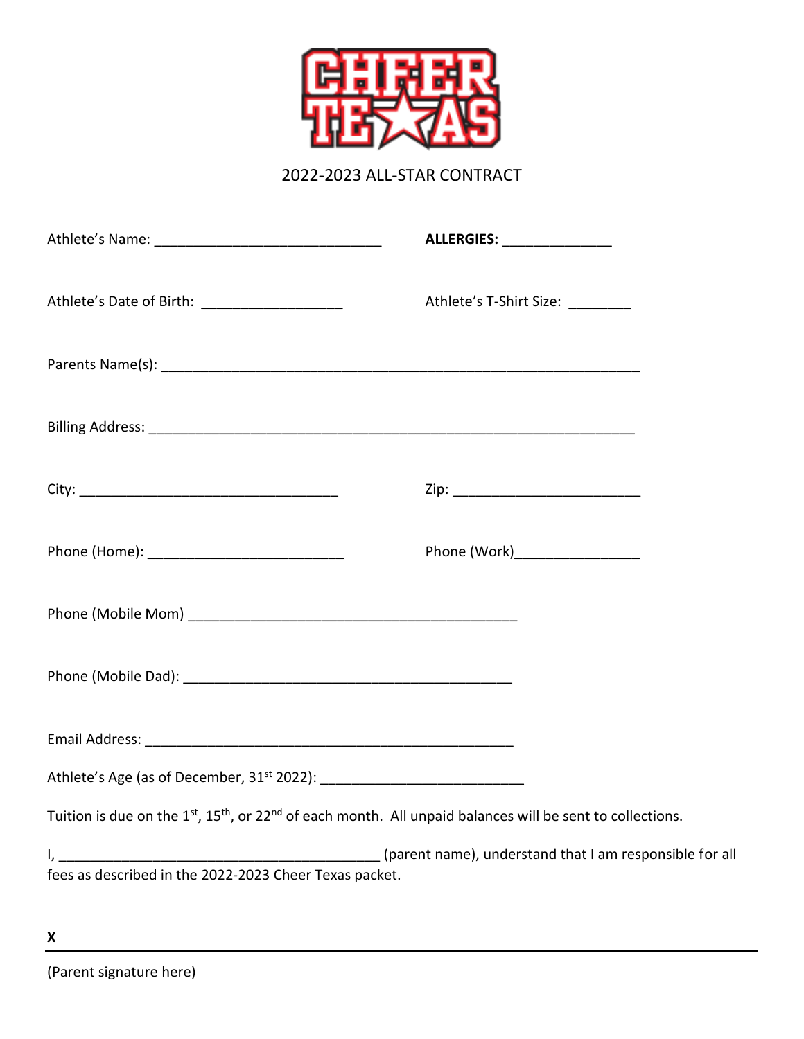

2022-2023 ALL-STAR CONTRACT

| Athlete's Name: ___________________________________                                                                                            | ALLERGIES: ________________       |
|------------------------------------------------------------------------------------------------------------------------------------------------|-----------------------------------|
| Athlete's Date of Birth: ________________________                                                                                              | Athlete's T-Shirt Size: _________ |
|                                                                                                                                                |                                   |
|                                                                                                                                                |                                   |
|                                                                                                                                                |                                   |
| Phone (Home): ________________________________                                                                                                 | Phone (Work)___________________   |
|                                                                                                                                                |                                   |
|                                                                                                                                                |                                   |
|                                                                                                                                                |                                   |
|                                                                                                                                                |                                   |
| Tuition is due on the 1 <sup>st</sup> , 15 <sup>th</sup> , or 22 <sup>nd</sup> of each month. All unpaid balances will be sent to collections. |                                   |
| fees as described in the 2022-2023 Cheer Texas packet.                                                                                         |                                   |
|                                                                                                                                                |                                   |

**X**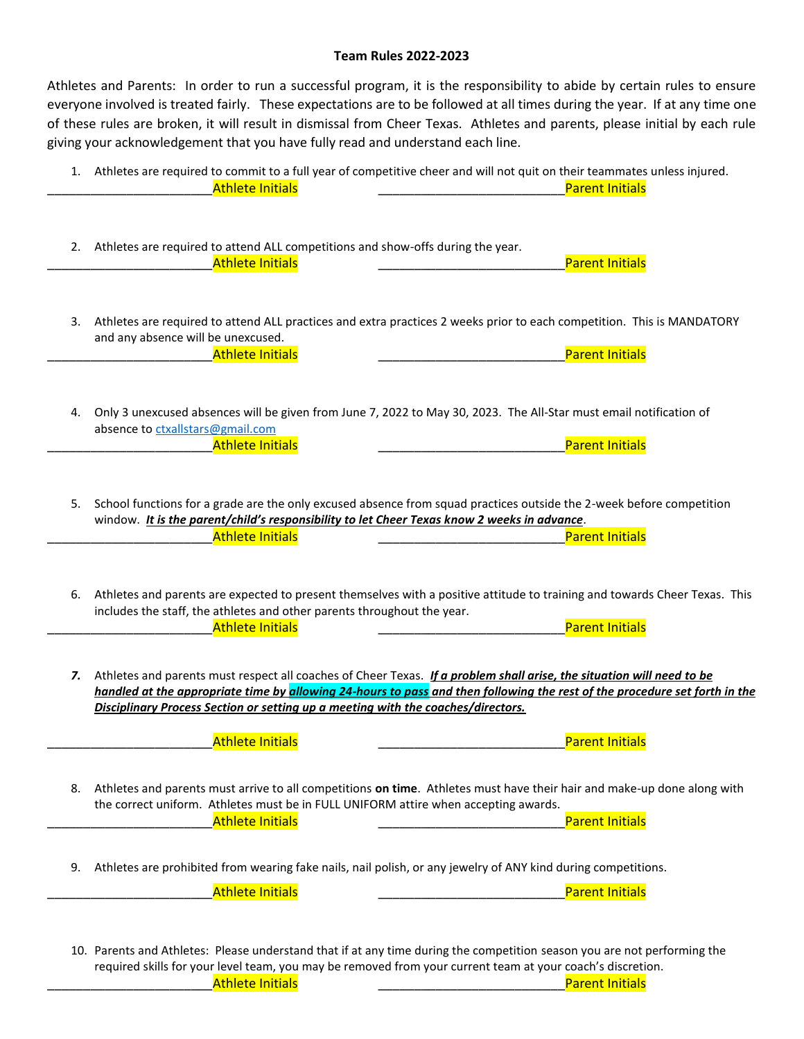#### **Team Rules 2022-2023**

Athletes and Parents: In order to run a successful program, it is the responsibility to abide by certain rules to ensure everyone involved is treated fairly. These expectations are to be followed at all times during the year. If at any time one of these rules are broken, it will result in dismissal from Cheer Texas. Athletes and parents, please initial by each rule giving your acknowledgement that you have fully read and understand each line.

|    | 1. Athletes are required to commit to a full year of competitive cheer and will not quit on their teammates unless injured.<br><b>Athlete Initials</b><br><b>Parent Initials</b>                                                                                                                                                           |
|----|--------------------------------------------------------------------------------------------------------------------------------------------------------------------------------------------------------------------------------------------------------------------------------------------------------------------------------------------|
|    | 2. Athletes are required to attend ALL competitions and show-offs during the year.<br><b>Athlete Initials</b><br><b>Parent Initials</b>                                                                                                                                                                                                    |
| 3. | Athletes are required to attend ALL practices and extra practices 2 weeks prior to each competition. This is MANDATORY<br>and any absence will be unexcused.<br><b>Parent Initials</b><br><b>Athlete Initials</b>                                                                                                                          |
|    | 4. Only 3 unexcused absences will be given from June 7, 2022 to May 30, 2023. The All-Star must email notification of<br>absence to ctxallstars@gmail.com<br><b>Parent Initials</b><br><b>Athlete Initials</b>                                                                                                                             |
| 5. | School functions for a grade are the only excused absence from squad practices outside the 2-week before competition<br>window. It is the parent/child's responsibility to let Cheer Texas know 2 weeks in advance.<br><b>Parent Initials</b><br><b>Athlete Initials</b>                                                                   |
| 6. | Athletes and parents are expected to present themselves with a positive attitude to training and towards Cheer Texas. This<br>includes the staff, the athletes and other parents throughout the year.<br><b>Athlete Initials</b><br><b>Parent Initials</b>                                                                                 |
|    | 7. Athletes and parents must respect all coaches of Cheer Texas. If a problem shall arise, the situation will need to be<br>handled at the appropriate time by allowing 24-hours to pass and then following the rest of the procedure set forth in the<br>Disciplinary Process Section or setting up a meeting with the coaches/directors. |
|    | <b>Athlete Initials</b><br><b>Parent Initials</b><br>8. Athletes and parents must arrive to all competitions on time. Athletes must have their hair and make-up done along with<br>the correct uniform. Athletes must be in FULL UNIFORM attire when accepting awards.<br><b>Parent Initials</b><br><b>Athlete Initials</b>                |
| 9. | Athletes are prohibited from wearing fake nails, nail polish, or any jewelry of ANY kind during competitions.<br><b>Athlete Initials</b><br><b>Parent Initials</b>                                                                                                                                                                         |
|    | 10. Parents and Athletes: Please understand that if at any time during the competition season you are not performing the<br>required skills for your level team, you may be removed from your current team at your coach's discretion.<br><b>Athlete Initials</b><br><b>Parent Initials</b>                                                |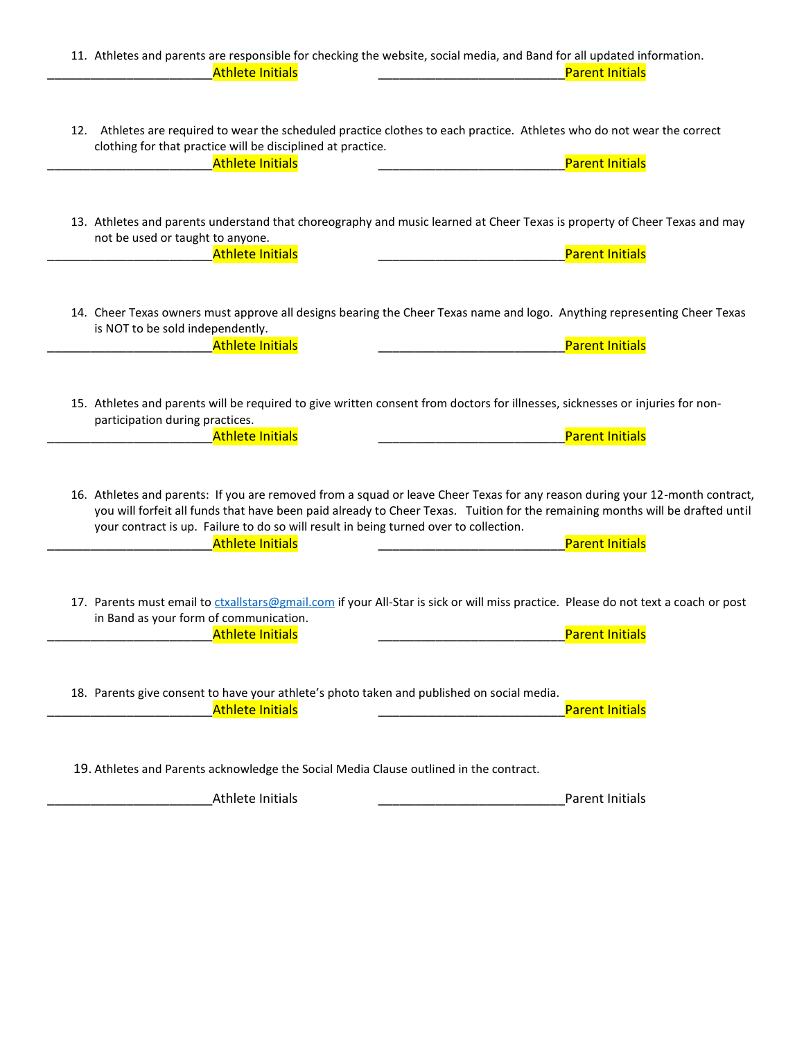| 11. Athletes and parents are responsible for checking the website, social media, and Band for all updated information.<br><b>Athlete Initials</b><br><b>Parent Initials</b>                                                                                                                                                                                                                                 |  |
|-------------------------------------------------------------------------------------------------------------------------------------------------------------------------------------------------------------------------------------------------------------------------------------------------------------------------------------------------------------------------------------------------------------|--|
| 12. Athletes are required to wear the scheduled practice clothes to each practice. Athletes who do not wear the correct<br>clothing for that practice will be disciplined at practice.<br><b>Athlete Initials</b><br><b>Parent Initials</b>                                                                                                                                                                 |  |
| 13. Athletes and parents understand that choreography and music learned at Cheer Texas is property of Cheer Texas and may<br>not be used or taught to anyone.<br><b>Athlete Initials</b><br><b>Parent Initials</b>                                                                                                                                                                                          |  |
| 14. Cheer Texas owners must approve all designs bearing the Cheer Texas name and logo. Anything representing Cheer Texas<br>is NOT to be sold independently.<br><b>Parent Initials</b><br><b>Athlete Initials</b>                                                                                                                                                                                           |  |
| 15. Athletes and parents will be required to give written consent from doctors for illnesses, sicknesses or injuries for non-<br>participation during practices.<br><b>Parent Initials</b><br><b>Athlete Initials</b>                                                                                                                                                                                       |  |
| 16. Athletes and parents: If you are removed from a squad or leave Cheer Texas for any reason during your 12-month contract,<br>you will forfeit all funds that have been paid already to Cheer Texas. Tuition for the remaining months will be drafted until<br>your contract is up. Failure to do so will result in being turned over to collection.<br><b>Parent Initials</b><br><b>Athlete Initials</b> |  |
| 17. Parents must email to ctxallstars@gmail.com if your All-Star is sick or will miss practice. Please do not text a coach or post<br>in Band as your form of communication.<br>Parent Initials<br>Athlete Initials                                                                                                                                                                                         |  |
| 18. Parents give consent to have your athlete's photo taken and published on social media.<br><b>Athlete Initials</b><br><b>Parent Initials</b>                                                                                                                                                                                                                                                             |  |
| 19. Athletes and Parents acknowledge the Social Media Clause outlined in the contract.<br><b>Athlete Initials</b><br>Parent Initials                                                                                                                                                                                                                                                                        |  |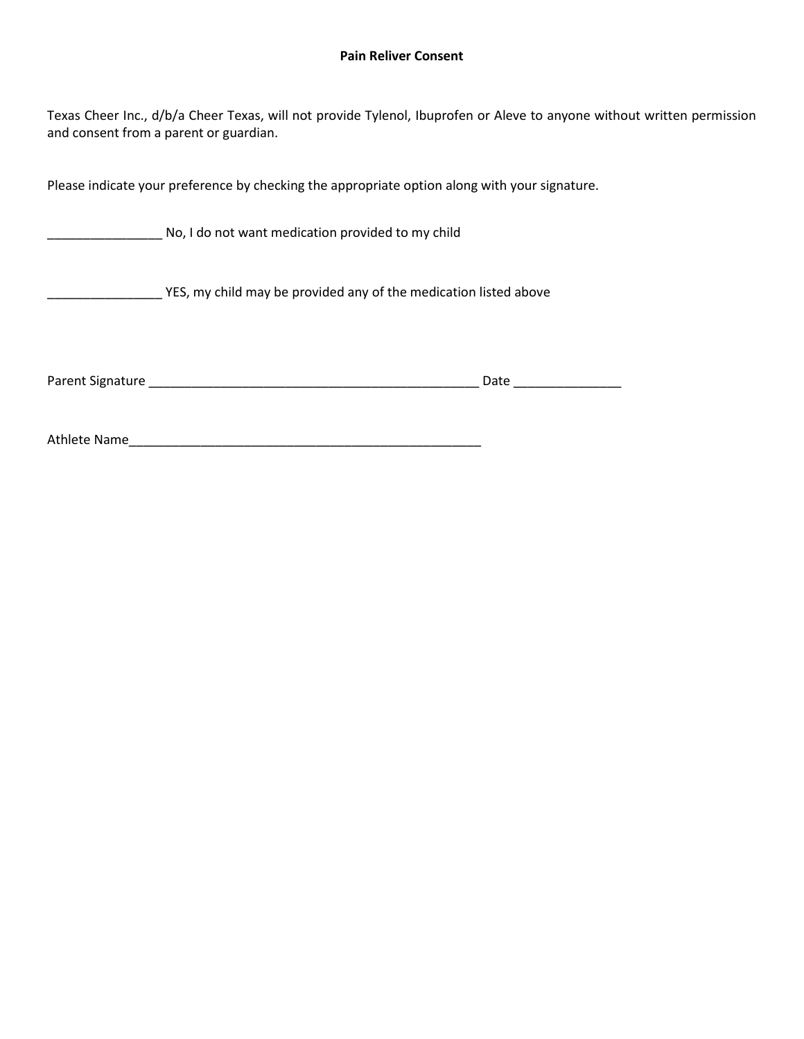#### **Pain Reliver Consent**

Texas Cheer Inc., d/b/a Cheer Texas, will not provide Tylenol, Ibuprofen or Aleve to anyone without written permission and consent from a parent or guardian.

Please indicate your preference by checking the appropriate option along with your signature.

No, I do not want medication provided to my child

\_\_\_\_\_\_\_\_\_\_\_\_\_\_\_\_ YES, my child may be provided any of the medication listed above

Parent Signature \_\_\_\_\_\_\_\_\_\_\_\_\_\_\_\_\_\_\_\_\_\_\_\_\_\_\_\_\_\_\_\_\_\_\_\_\_\_\_\_\_\_\_\_\_\_ Date \_\_\_\_\_\_\_\_\_\_\_\_\_\_\_

Athlete Name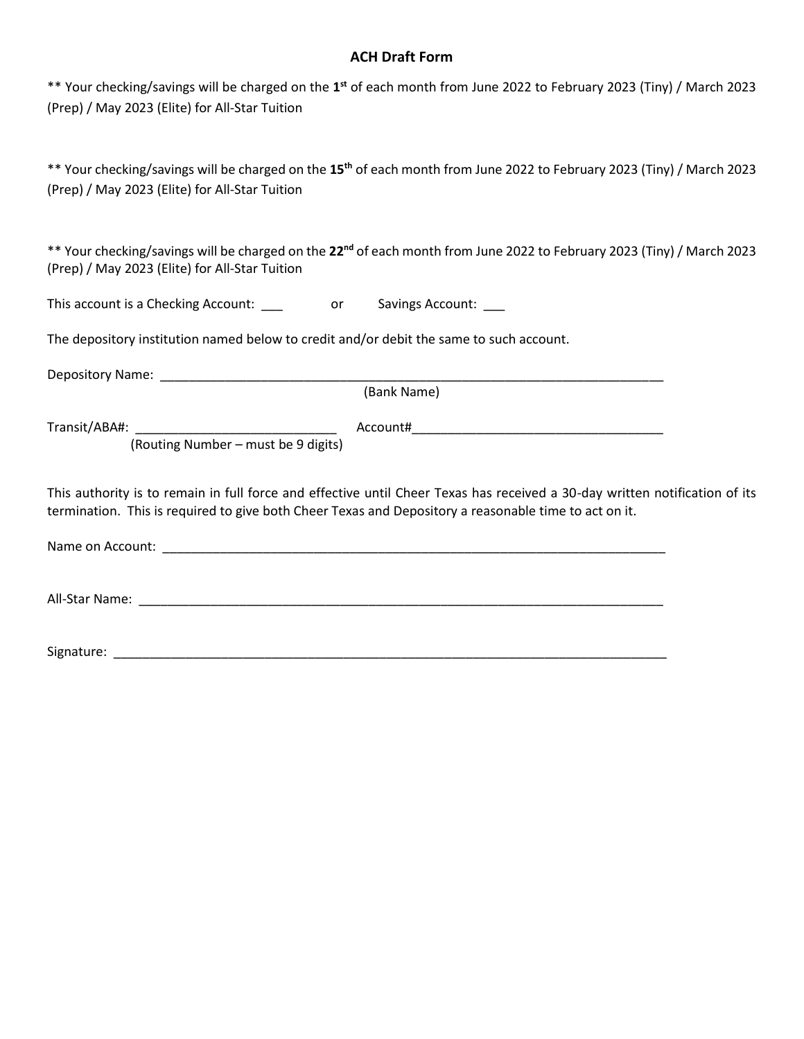# **ACH Draft Form**

\*\* Your checking/savings will be charged on the 1<sup>st</sup> of each month from June 2022 to February 2023 (Tiny) / March 2023 (Prep) / May 2023 (Elite) for All-Star Tuition

\*\* Your checking/savings will be charged on the **15th** of each month from June 2022 to February 2023 (Tiny) / March 2023 (Prep) / May 2023 (Elite) for All-Star Tuition

\*\* Your checking/savings will be charged on the **22nd** of each month from June 2022 to February 2023 (Tiny) / March 2023 (Prep) / May 2023 (Elite) for All-Star Tuition

| This account is a Checking Account: |  | <b>Savings Account:</b> |
|-------------------------------------|--|-------------------------|
|-------------------------------------|--|-------------------------|

The depository institution named below to credit and/or debit the same to such account.

Depository Name: \_\_\_\_\_\_\_\_\_\_\_\_\_\_\_\_\_\_\_\_\_\_\_\_\_\_\_\_\_\_\_\_\_\_\_\_\_\_\_\_\_\_\_\_\_\_\_\_\_\_\_\_\_\_\_\_\_\_\_\_\_\_\_\_\_\_\_\_\_\_

(Bank Name)

Transit/ABA#: \_\_\_\_\_\_\_\_\_\_\_\_\_\_\_\_\_\_\_\_\_\_\_\_\_\_\_\_ Account#\_\_\_\_\_\_\_\_\_\_\_\_\_\_\_\_\_\_\_\_\_\_\_\_\_\_\_\_\_\_\_\_\_\_\_

(Routing Number – must be 9 digits)

This authority is to remain in full force and effective until Cheer Texas has received a 30-day written notification of its termination. This is required to give both Cheer Texas and Depository a reasonable time to act on it.

Name on Account: \_\_\_\_\_\_\_\_\_\_\_\_\_\_\_\_\_\_\_\_\_\_\_\_\_\_\_\_\_\_\_\_\_\_\_\_\_\_\_\_\_\_\_\_\_\_\_\_\_\_\_\_\_\_\_\_\_\_\_\_\_\_\_\_\_\_\_\_\_\_

All-Star Name: \_\_\_\_\_\_\_\_\_\_\_\_\_\_\_\_\_\_\_\_\_\_\_\_\_\_\_\_\_\_\_\_\_\_\_\_\_\_\_\_\_\_\_\_\_\_\_\_\_\_\_\_\_\_\_\_\_\_\_\_\_\_\_\_\_\_\_\_\_\_\_\_\_

Signature: \_\_\_\_\_\_\_\_\_\_\_\_\_\_\_\_\_\_\_\_\_\_\_\_\_\_\_\_\_\_\_\_\_\_\_\_\_\_\_\_\_\_\_\_\_\_\_\_\_\_\_\_\_\_\_\_\_\_\_\_\_\_\_\_\_\_\_\_\_\_\_\_\_\_\_\_\_